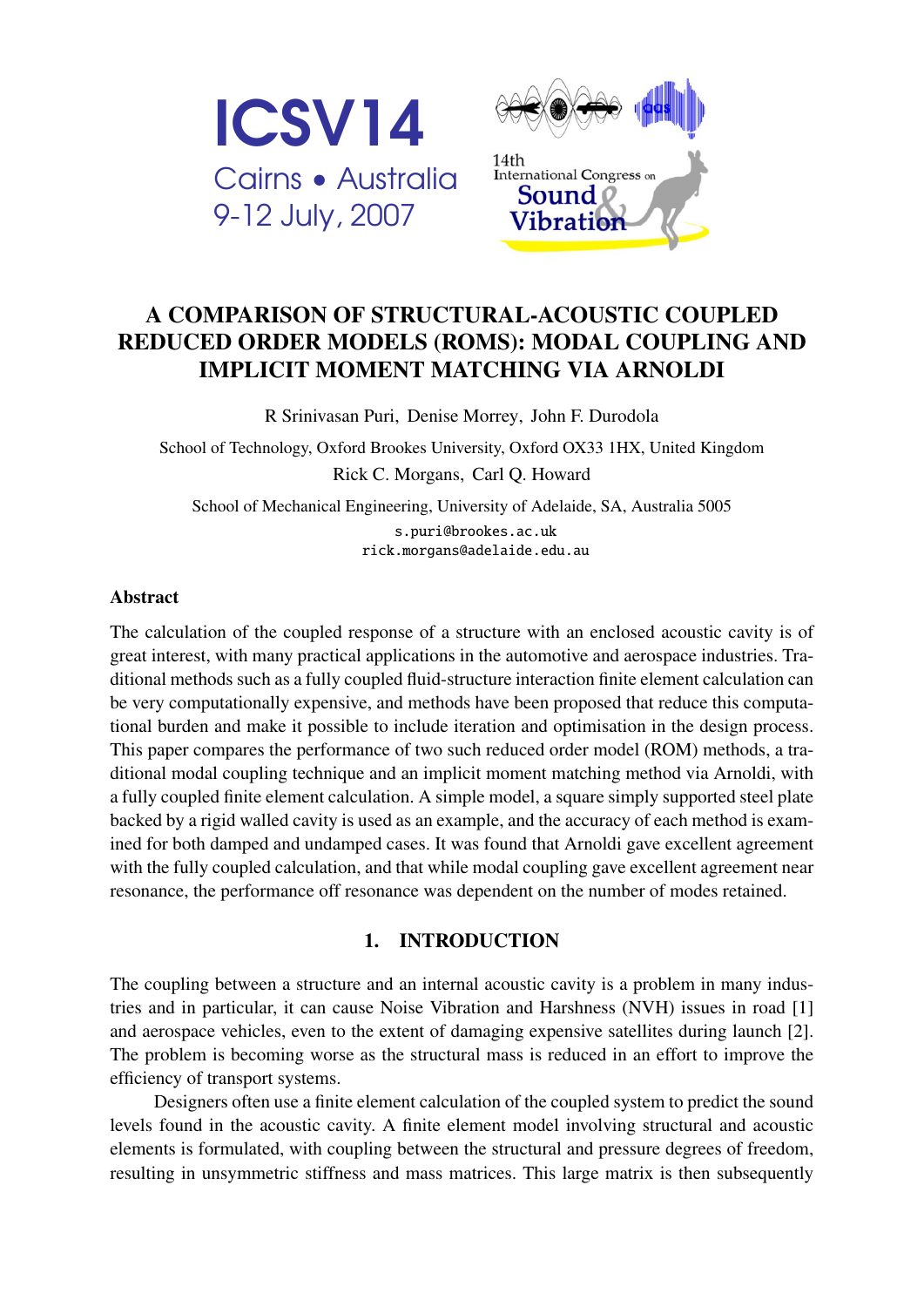

# A COMPARISON OF STRUCTURAL-ACOUSTIC COUPLED REDUCED ORDER MODELS (ROMS): MODAL COUPLING AND IMPLICIT MOMENT MATCHING VIA ARNOLDI

R Srinivasan Puri, Denise Morrey, John F. Durodola

School of Technology, Oxford Brookes University, Oxford OX33 1HX, United Kingdom Rick C. Morgans, Carl Q. Howard

School of Mechanical Engineering, University of Adelaide, SA, Australia 5005 [s.puri@brookes.ac.uk](mailto:s.puri@brookes.ac.uk) [rick.morgans@adelaide.edu.au](mailto:rick.morgans@adelaide.edu.au)

### Abstract

The calculation of the coupled response of a structure with an enclosed acoustic cavity is of great interest, with many practical applications in the automotive and aerospace industries. Traditional methods such as a fully coupled fluid-structure interaction finite element calculation can be very computationally expensive, and methods have been proposed that reduce this computational burden and make it possible to include iteration and optimisation in the design process. This paper compares the performance of two such reduced order model (ROM) methods, a traditional modal coupling technique and an implicit moment matching method via Arnoldi, with a fully coupled finite element calculation. A simple model, a square simply supported steel plate backed by a rigid walled cavity is used as an example, and the accuracy of each method is examined for both damped and undamped cases. It was found that Arnoldi gave excellent agreement with the fully coupled calculation, and that while modal coupling gave excellent agreement near resonance, the performance off resonance was dependent on the number of modes retained.

## 1. INTRODUCTION

The coupling between a structure and an internal acoustic cavity is a problem in many industries and in particular, it can cause Noise Vibration and Harshness (NVH) issues in road [\[1\]](#page-7-0) and aerospace vehicles, even to the extent of damaging expensive satellites during launch [\[2\]](#page-7-1). The problem is becoming worse as the structural mass is reduced in an effort to improve the efficiency of transport systems.

Designers often use a finite element calculation of the coupled system to predict the sound levels found in the acoustic cavity. A finite element model involving structural and acoustic elements is formulated, with coupling between the structural and pressure degrees of freedom, resulting in unsymmetric stiffness and mass matrices. This large matrix is then subsequently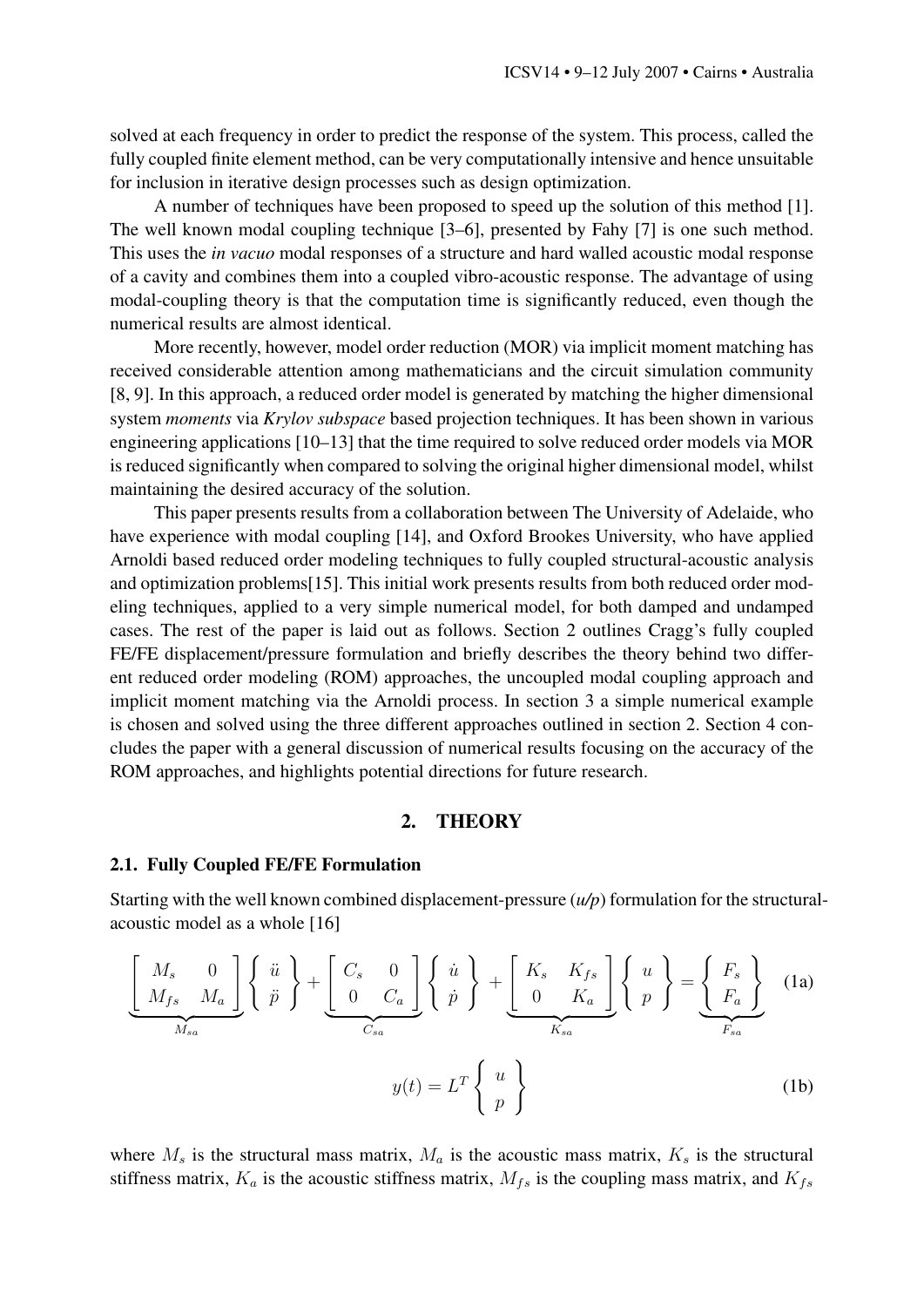solved at each frequency in order to predict the response of the system. This process, called the fully coupled finite element method, can be very computationally intensive and hence unsuitable for inclusion in iterative design processes such as design optimization.

A number of techniques have been proposed to speed up the solution of this method [\[1\]](#page-7-0). The well known modal coupling technique [\[3](#page-7-2)[–6\]](#page-7-3), presented by Fahy [\[7\]](#page-7-4) is one such method. This uses the *in vacuo* modal responses of a structure and hard walled acoustic modal response of a cavity and combines them into a coupled vibro-acoustic response. The advantage of using modal-coupling theory is that the computation time is significantly reduced, even though the numerical results are almost identical.

More recently, however, model order reduction (MOR) via implicit moment matching has received considerable attention among mathematicians and the circuit simulation community [\[8,](#page-7-5) [9\]](#page-7-6). In this approach, a reduced order model is generated by matching the higher dimensional system *moments* via *Krylov subspace* based projection techniques. It has been shown in various engineering applications [\[10](#page-7-7)[–13\]](#page-7-8) that the time required to solve reduced order models via MOR is reduced significantly when compared to solving the original higher dimensional model, whilst maintaining the desired accuracy of the solution.

This paper presents results from a collaboration between The University of Adelaide, who have experience with modal coupling [\[14\]](#page-7-9), and Oxford Brookes University, who have applied Arnoldi based reduced order modeling techniques to fully coupled structural-acoustic analysis and optimization problems[\[15\]](#page-7-10). This initial work presents results from both reduced order modeling techniques, applied to a very simple numerical model, for both damped and undamped cases. The rest of the paper is laid out as follows. Section 2 outlines Cragg's fully coupled FE/FE displacement/pressure formulation and briefly describes the theory behind two different reduced order modeling (ROM) approaches, the uncoupled modal coupling approach and implicit moment matching via the Arnoldi process. In section 3 a simple numerical example is chosen and solved using the three different approaches outlined in section 2. Section 4 concludes the paper with a general discussion of numerical results focusing on the accuracy of the ROM approaches, and highlights potential directions for future research.

## <span id="page-1-1"></span><span id="page-1-0"></span>2. THEORY

#### 2.1. Fully Coupled FE/FE Formulation

Starting with the well known combined displacement-pressure (*u/p*) formulation for the structuralacoustic model as a whole [\[16\]](#page-7-11)

$$
\underbrace{\begin{bmatrix} M_s & 0 \\ M_{fs} & M_a \end{bmatrix}}_{M_{sa}} \left\{ \begin{array}{c} \ddot{u} \\ \ddot{p} \end{array} \right\} + \underbrace{\begin{bmatrix} C_s & 0 \\ 0 & C_a \end{bmatrix}}_{C_{sa}} \left\{ \begin{array}{c} \dot{u} \\ \dot{p} \end{array} \right\} + \underbrace{\begin{bmatrix} K_s & K_{fs} \\ 0 & K_a \end{bmatrix}}_{K_{sa}} \left\{ \begin{array}{c} u \\ p \end{array} \right\} = \underbrace{\begin{Bmatrix} F_s \\ F_a \end{Bmatrix}}_{F_{sa}} \quad (1a)
$$
\n
$$
y(t) = L^T \left\{ \begin{array}{c} u \\ p \end{array} \right\} \qquad (1b)
$$

where  $M_s$  is the structural mass matrix,  $M_a$  is the acoustic mass matrix,  $K_s$  is the structural stiffness matrix,  $K_a$  is the acoustic stiffness matrix,  $M_{fs}$  is the coupling mass matrix, and  $K_{fs}$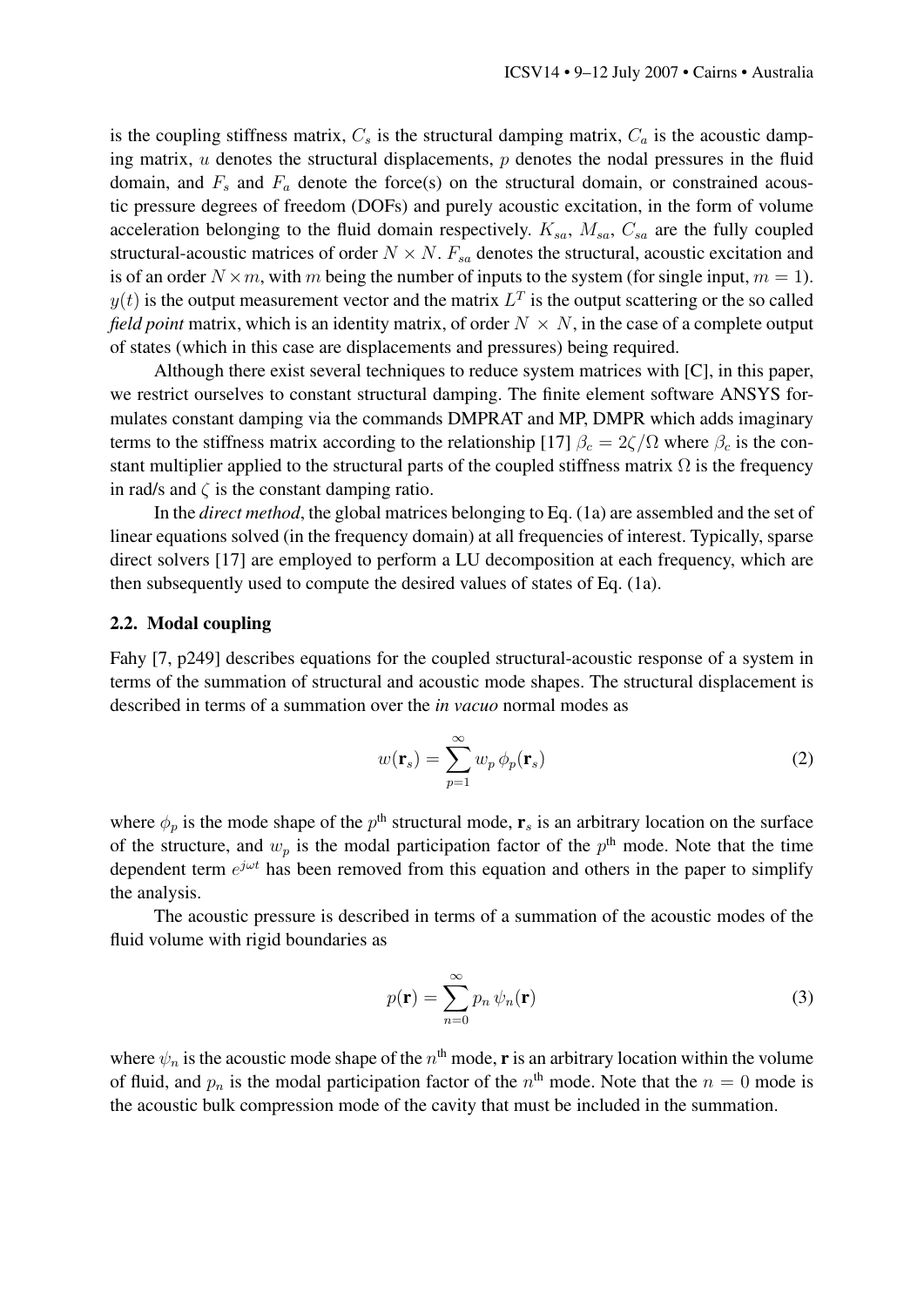is the coupling stiffness matrix,  $C_s$  is the structural damping matrix,  $C_a$  is the acoustic damping matrix,  $u$  denotes the structural displacements,  $p$  denotes the nodal pressures in the fluid domain, and  $F_s$  and  $F_a$  denote the force(s) on the structural domain, or constrained acoustic pressure degrees of freedom (DOFs) and purely acoustic excitation, in the form of volume acceleration belonging to the fluid domain respectively.  $K_{sa}$ ,  $M_{sa}$ ,  $C_{sa}$  are the fully coupled structural-acoustic matrices of order  $N \times N$ .  $F_{sa}$  denotes the structural, acoustic excitation and is of an order  $N \times m$ , with m being the number of inputs to the system (for single input,  $m = 1$ ).  $y(t)$  is the output measurement vector and the matrix  $L<sup>T</sup>$  is the output scattering or the so called *field point* matrix, which is an identity matrix, of order  $N \times N$ , in the case of a complete output of states (which in this case are displacements and pressures) being required.

Although there exist several techniques to reduce system matrices with [C], in this paper, we restrict ourselves to constant structural damping. The finite element software ANSYS formulates constant damping via the commands DMPRAT and MP, DMPR which adds imaginary terms to the stiffness matrix according to the relationship [\[17\]](#page-7-12)  $\beta_c = 2\zeta/\Omega$  where  $\beta_c$  is the constant multiplier applied to the structural parts of the coupled stiffness matrix  $\Omega$  is the frequency in rad/s and  $\zeta$  is the constant damping ratio.

In the *direct method*, the global matrices belonging to Eq. [\(1a\)](#page-1-0) are assembled and the set of linear equations solved (in the frequency domain) at all frequencies of interest. Typically, sparse direct solvers [\[17\]](#page-7-12) are employed to perform a LU decomposition at each frequency, which are then subsequently used to compute the desired values of states of Eq. [\(1a\)](#page-1-0).

#### 2.2. Modal coupling

Fahy [\[7,](#page-7-4) p249] describes equations for the coupled structural-acoustic response of a system in terms of the summation of structural and acoustic mode shapes. The structural displacement is described in terms of a summation over the *in vacuo* normal modes as

$$
w(\mathbf{r}_s) = \sum_{p=1}^{\infty} w_p \phi_p(\mathbf{r}_s)
$$
 (2)

where  $\phi_p$  is the mode shape of the  $p^{\text{th}}$  structural mode,  $\mathbf{r}_s$  is an arbitrary location on the surface of the structure, and  $w_p$  is the modal participation factor of the  $p<sup>th</sup>$  mode. Note that the time dependent term  $e^{j\omega t}$  has been removed from this equation and others in the paper to simplify the analysis.

The acoustic pressure is described in terms of a summation of the acoustic modes of the fluid volume with rigid boundaries as

$$
p(\mathbf{r}) = \sum_{n=0}^{\infty} p_n \psi_n(\mathbf{r})
$$
 (3)

where  $\psi_n$  is the acoustic mode shape of the  $n^{\text{th}}$  mode, **r** is an arbitrary location within the volume of fluid, and  $p_n$  is the modal participation factor of the  $n^{\text{th}}$  mode. Note that the  $n = 0$  mode is the acoustic bulk compression mode of the cavity that must be included in the summation.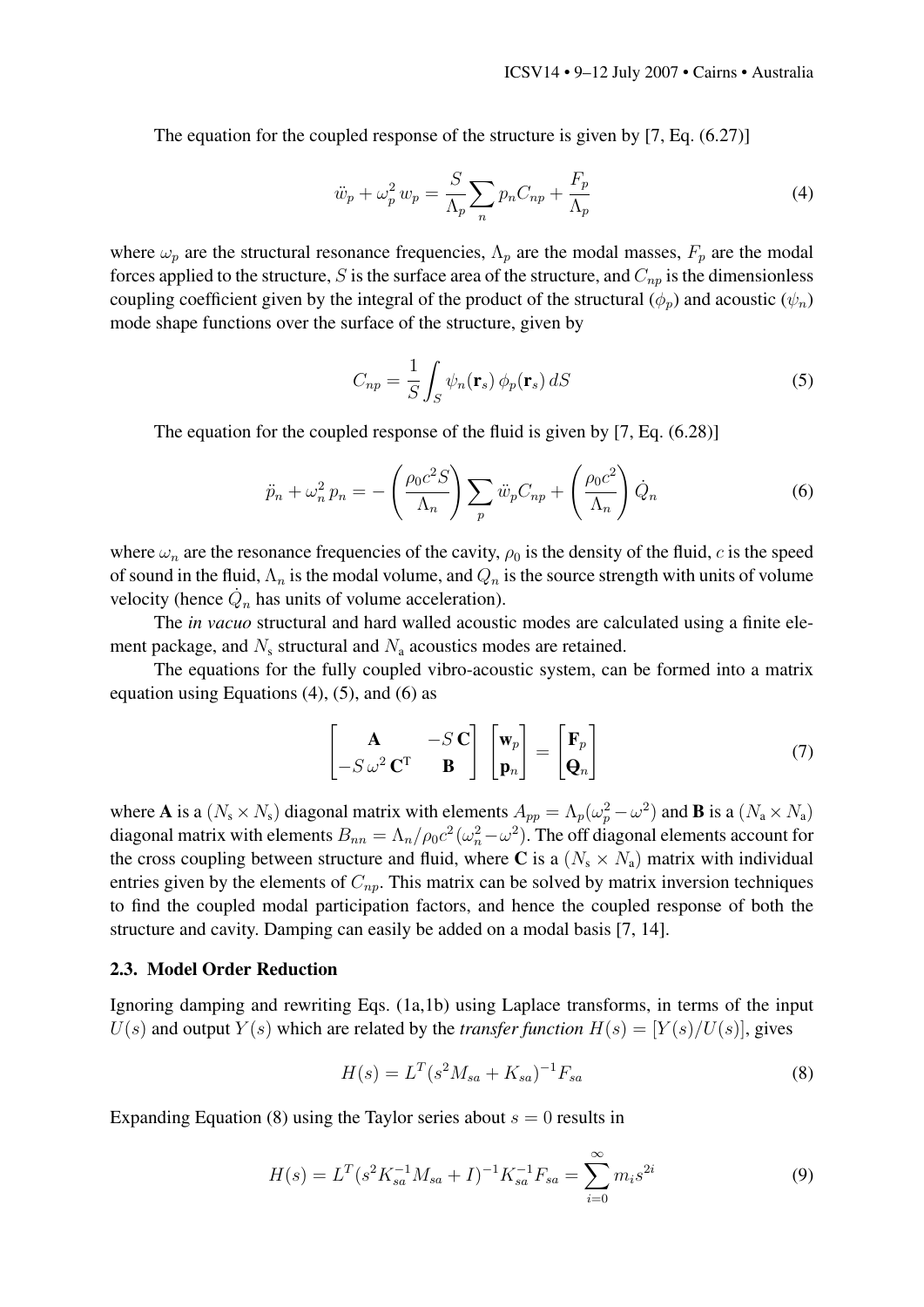The equation for the coupled response of the structure is given by [\[7,](#page-7-4) Eq. (6.27)]

<span id="page-3-0"></span>
$$
\ddot{w}_p + \omega_p^2 w_p = \frac{S}{\Lambda_p} \sum_n p_n C_{np} + \frac{F_p}{\Lambda_p} \tag{4}
$$

where  $\omega_p$  are the structural resonance frequencies,  $\Lambda_p$  are the modal masses,  $F_p$  are the modal forces applied to the structure, S is the surface area of the structure, and  $C_{np}$  is the dimensionless coupling coefficient given by the integral of the product of the structural  $(\phi_n)$  and acoustic  $(\psi_n)$ mode shape functions over the surface of the structure, given by

<span id="page-3-1"></span>
$$
C_{np} = \frac{1}{S} \int_{S} \psi_n(\mathbf{r}_s) \phi_p(\mathbf{r}_s) dS
$$
 (5)

The equation for the coupled response of the fluid is given by [\[7,](#page-7-4) Eq. (6.28)]

<span id="page-3-2"></span>
$$
\ddot{p}_n + \omega_n^2 p_n = -\left(\frac{\rho_0 c^2 S}{\Lambda_n}\right) \sum_p \ddot{w}_p C_{np} + \left(\frac{\rho_0 c^2}{\Lambda_n}\right) \dot{Q}_n \tag{6}
$$

where  $\omega_n$  are the resonance frequencies of the cavity,  $\rho_0$  is the density of the fluid, c is the speed of sound in the fluid,  $\Lambda_n$  is the modal volume, and  $Q_n$  is the source strength with units of volume velocity (hence  $\dot{Q}_n$  has units of volume acceleration).

The *in vacuo* structural and hard walled acoustic modes are calculated using a finite element package, and  $N_s$  structural and  $N_a$  acoustics modes are retained.

The equations for the fully coupled vibro-acoustic system, can be formed into a matrix equation using Equations  $(4)$ ,  $(5)$ , and  $(6)$  as

$$
\begin{bmatrix} \mathbf{A} & -S\mathbf{C} \\ -S\omega^2\mathbf{C}^T & \mathbf{B} \end{bmatrix} \begin{bmatrix} \mathbf{w}_p \\ \mathbf{p}_n \end{bmatrix} = \begin{bmatrix} \mathbf{F}_p \\ \mathbf{Q}_n \end{bmatrix}
$$
(7)

where **A** is a  $(N_s \times N_s)$  diagonal matrix with elements  $A_{pp} = \Lambda_p(\omega_p^2 - \omega^2)$  and **B** is a  $(N_a \times N_a)$ diagonal matrix with elements  $B_{nn} = \Lambda_n/\rho_0 c^2 (\omega_n^2 - \omega^2)$ . The off diagonal elements account for the cross coupling between structure and fluid, where C is a  $(N_s \times N_a)$  matrix with individual entries given by the elements of  $C_{np}$ . This matrix can be solved by matrix inversion techniques to find the coupled modal participation factors, and hence the coupled response of both the structure and cavity. Damping can easily be added on a modal basis [\[7,](#page-7-4) [14\]](#page-7-9).

#### 2.3. Model Order Reduction

Ignoring damping and rewriting Eqs. [\(1a,](#page-1-0)[1b\)](#page-1-1) using Laplace transforms, in terms of the input  $U(s)$  and output  $Y(s)$  which are related by the *transfer function*  $H(s) = [Y(s)/U(s)]$ , gives

<span id="page-3-3"></span>
$$
H(s) = L^T (s^2 M_{sa} + K_{sa})^{-1} F_{sa}
$$
\n(8)

Expanding Equation [\(8\)](#page-3-3) using the Taylor series about  $s = 0$  results in

$$
H(s) = L^T (s^2 K_{sa}^{-1} M_{sa} + I)^{-1} K_{sa}^{-1} F_{sa} = \sum_{i=0}^{\infty} m_i s^{2i}
$$
 (9)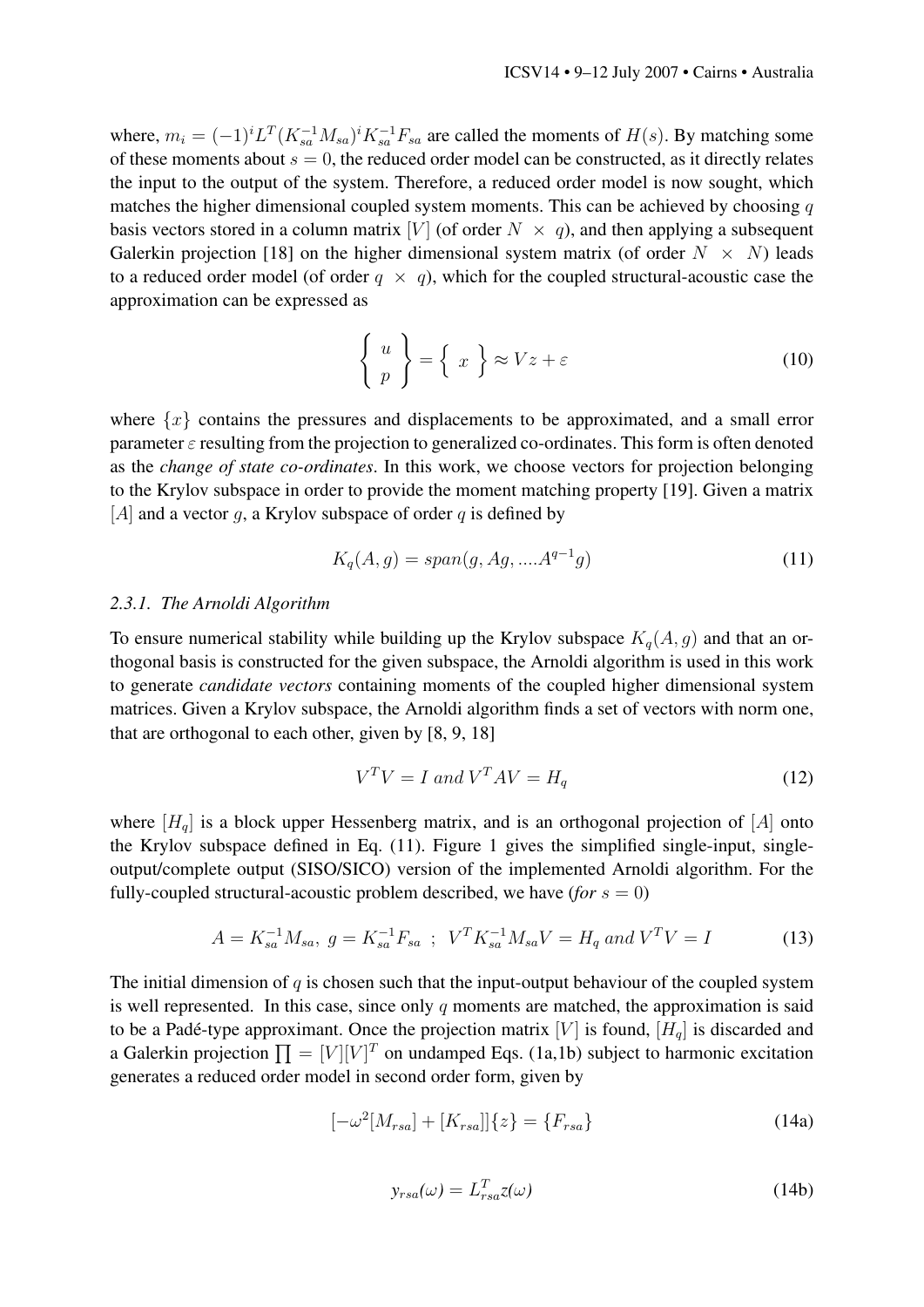where,  $m_i = (-1)^i L^T (K_{sa}^{-1} M_{sa})^i K_{sa}^{-1} F_{sa}$  are called the moments of  $H(s)$ . By matching some of these moments about  $s = 0$ , the reduced order model can be constructed, as it directly relates the input to the output of the system. Therefore, a reduced order model is now sought, which matches the higher dimensional coupled system moments. This can be achieved by choosing  $q$ basis vectors stored in a column matrix [V] (of order  $N \times q$ ), and then applying a subsequent Galerkin projection [\[18\]](#page-7-13) on the higher dimensional system matrix (of order  $N \times N$ ) leads to a reduced order model (of order  $q \times q$ ), which for the coupled structural-acoustic case the approximation can be expressed as

$$
\left\{ \begin{array}{c} u \\ p \end{array} \right\} = \left\{ x \right\} \approx Vz + \varepsilon \tag{10}
$$

where  $\{x\}$  contains the pressures and displacements to be approximated, and a small error parameter  $\varepsilon$  resulting from the projection to generalized co-ordinates. This form is often denoted as the *change of state co-ordinates*. In this work, we choose vectors for projection belonging to the Krylov subspace in order to provide the moment matching property [\[19\]](#page-7-14). Given a matrix [A] and a vector g, a Krylov subspace of order q is defined by

<span id="page-4-0"></span>
$$
K_q(A,g) = span(g, Ag, ....A^{q-1}g)
$$
\n(11)

#### *2.3.1. The Arnoldi Algorithm*

To ensure numerical stability while building up the Krylov subspace  $K_q(A, g)$  and that an orthogonal basis is constructed for the given subspace, the Arnoldi algorithm is used in this work to generate *candidate vectors* containing moments of the coupled higher dimensional system matrices. Given a Krylov subspace, the Arnoldi algorithm finds a set of vectors with norm one, that are orthogonal to each other, given by [\[8,](#page-7-5) [9,](#page-7-6) [18\]](#page-7-13)

$$
V^T V = I \text{ and } V^T A V = H_q \tag{12}
$$

where  $[H_q]$  is a block upper Hessenberg matrix, and is an orthogonal projection of  $[A]$  onto the Krylov subspace defined in Eq. [\(11\)](#page-4-0). Figure [1](#page-5-0) gives the simplified single-input, singleoutput/complete output (SISO/SICO) version of the implemented Arnoldi algorithm. For the fully-coupled structural-acoustic problem described, we have  $(for s = 0)$ 

$$
A = K_{sa}^{-1} M_{sa}, \ g = K_{sa}^{-1} F_{sa} \ ; \ V^T K_{sa}^{-1} M_{sa} V = H_q \ and \ V^T V = I \tag{13}
$$

The initial dimension of  $q$  is chosen such that the input-output behaviour of the coupled system is well represented. In this case, since only  $q$  moments are matched, the approximation is said to be a Padé-type approximant. Once the projection matrix  $[V]$  is found,  $[H_q]$  is discarded and a Galerkin projection  $\prod = [V][V]^T$  on undamped Eqs. [\(1a](#page-1-0)[,1b\)](#page-1-1) subject to harmonic excitation generates a reduced order model in second order form, given by

$$
[-\omega^{2}[M_{rsa}] + [K_{rsa}]]\{z\} = \{F_{rsa}\}\tag{14a}
$$

$$
y_{rsa}(\omega) = L_{rsa}^T z(\omega)
$$
 (14b)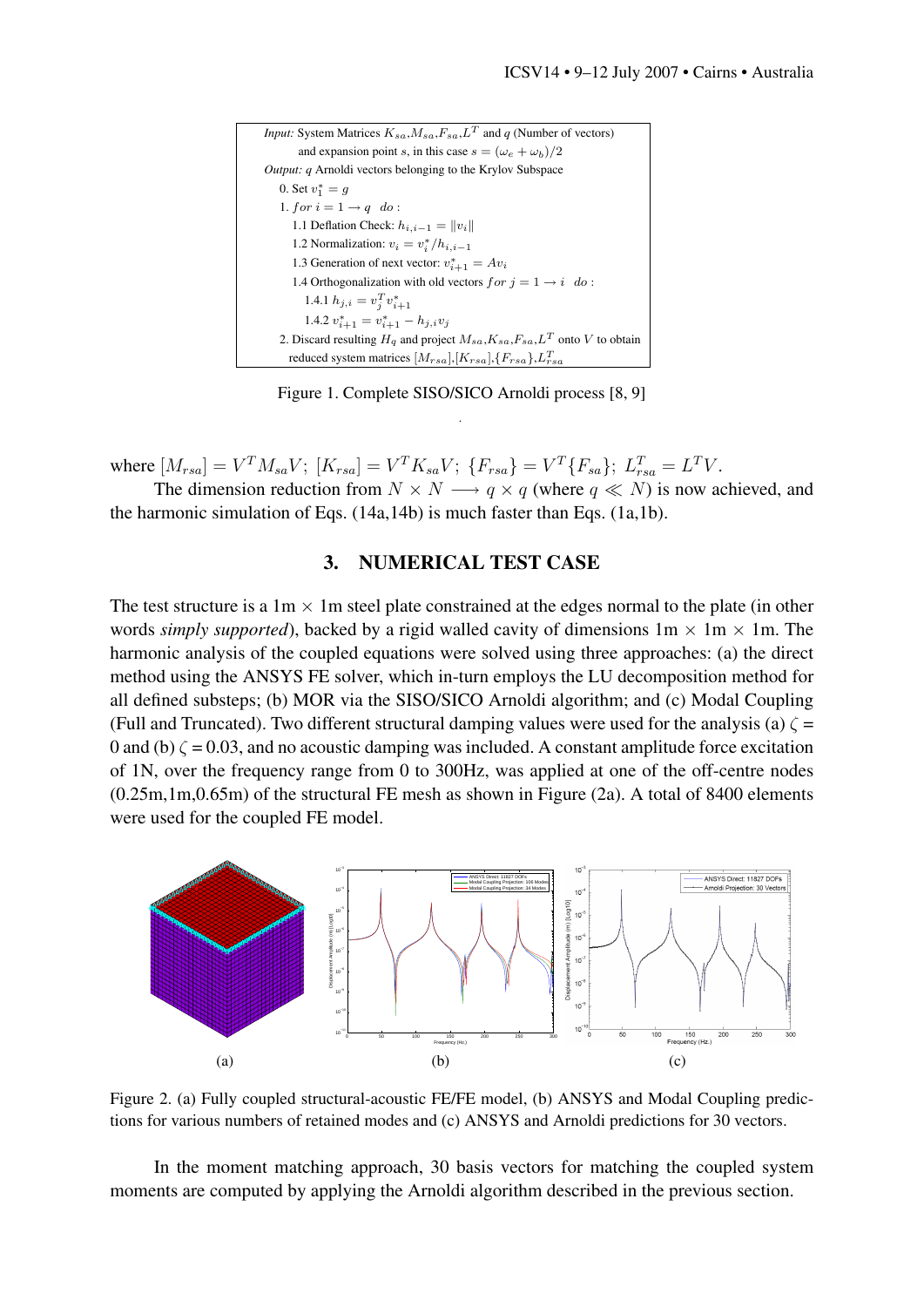| <i>Input:</i> System Matrices $K_{sa}$ , $M_{sa}$ , $F_{sa}$ , $L^T$ and q (Number of vectors) |
|------------------------------------------------------------------------------------------------|
| and expansion point s, in this case $s = (\omega_e + \omega_b)/2$                              |
| <i>Output: q</i> Arnoldi vectors belonging to the Krylov Subspace                              |
| 0. Set $v_1^* = q$                                                                             |
| 1. for $i = 1 \rightarrow q$ do:                                                               |
| 1.1 Deflation Check: $h_{i,i-1} =   v_i  $                                                     |
| 1.2 Normalization: $v_i = v_i^* / h_{i,i-1}$                                                   |
| 1.3 Generation of next vector: $v_{i+1}^* = Av_i$                                              |
| 1.4 Orthogonalization with old vectors $for j = 1 \rightarrow i \ do$ :                        |
| 1.4.1 $h_{j,i} = v_i^T v_{i+1}^*$                                                              |
| 1.4.2 $v_{i+1}^* = v_{i+1}^* - h_{j,i}v_j$                                                     |
| 2. Discard resulting $H_q$ and project $M_{sa}$ , $K_{sa}$ , $F_{sa}$ , $L^T$ onto V to obtain |
| reduced system matrices $[M_{rsa}]$ , $[K_{rsa}]$ , $\{F_{rsa}\}$ , $L_{rsa}^T$                |

<span id="page-5-0"></span>Figure 1. Complete SISO/SICO Arnoldi process [\[8,](#page-7-5) [9\]](#page-7-6) .

where  $[M_{rsa}] = V^T M_{sa} V; [K_{rsa}] = V^T K_{sa} V; \{F_{rsa}\} = V^T \{F_{sa}\}; L_{rsa}^T = L^T V.$ 

The dimension reduction from  $N \times N \longrightarrow q \times q$  (where  $q \ll N$ ) is now achieved, and the harmonic simulation of Eqs. [\(14a](#page-1-0)[,14b\)](#page-1-1) is much faster than Eqs. [\(1a,](#page-1-0)[1b\)](#page-1-1).

#### 3. NUMERICAL TEST CASE

The test structure is a  $1m \times 1m$  steel plate constrained at the edges normal to the plate (in other words *simply supported*), backed by a rigid walled cavity of dimensions  $1m \times 1m \times 1m$ . The harmonic analysis of the coupled equations were solved using three approaches: (a) the direct method using the ANSYS FE solver, which in-turn employs the LU decomposition method for all defined substeps; (b) MOR via the SISO/SICO Arnoldi algorithm; and (c) Modal Coupling (Full and Truncated). Two different structural damping values were used for the analysis (a)  $\zeta$  = 0 and (b)  $\zeta = 0.03$ , and no acoustic damping was included. A constant amplitude force excitation of 1N, over the frequency range from 0 to 300Hz, was applied at one of the off-centre nodes (0.25m,1m,0.65m) of the structural FE mesh as shown in Figure [\(2a\)](#page-5-1). A total of 8400 elements were used for the coupled FE model.

<span id="page-5-1"></span>

<span id="page-5-3"></span><span id="page-5-2"></span>Figure 2. (a) Fully coupled structural-acoustic FE/FE model, (b) ANSYS and Modal Coupling predictions for various numbers of retained modes and (c) ANSYS and Arnoldi predictions for 30 vectors.

In the moment matching approach, 30 basis vectors for matching the coupled system moments are computed by applying the Arnoldi algorithm described in the previous section.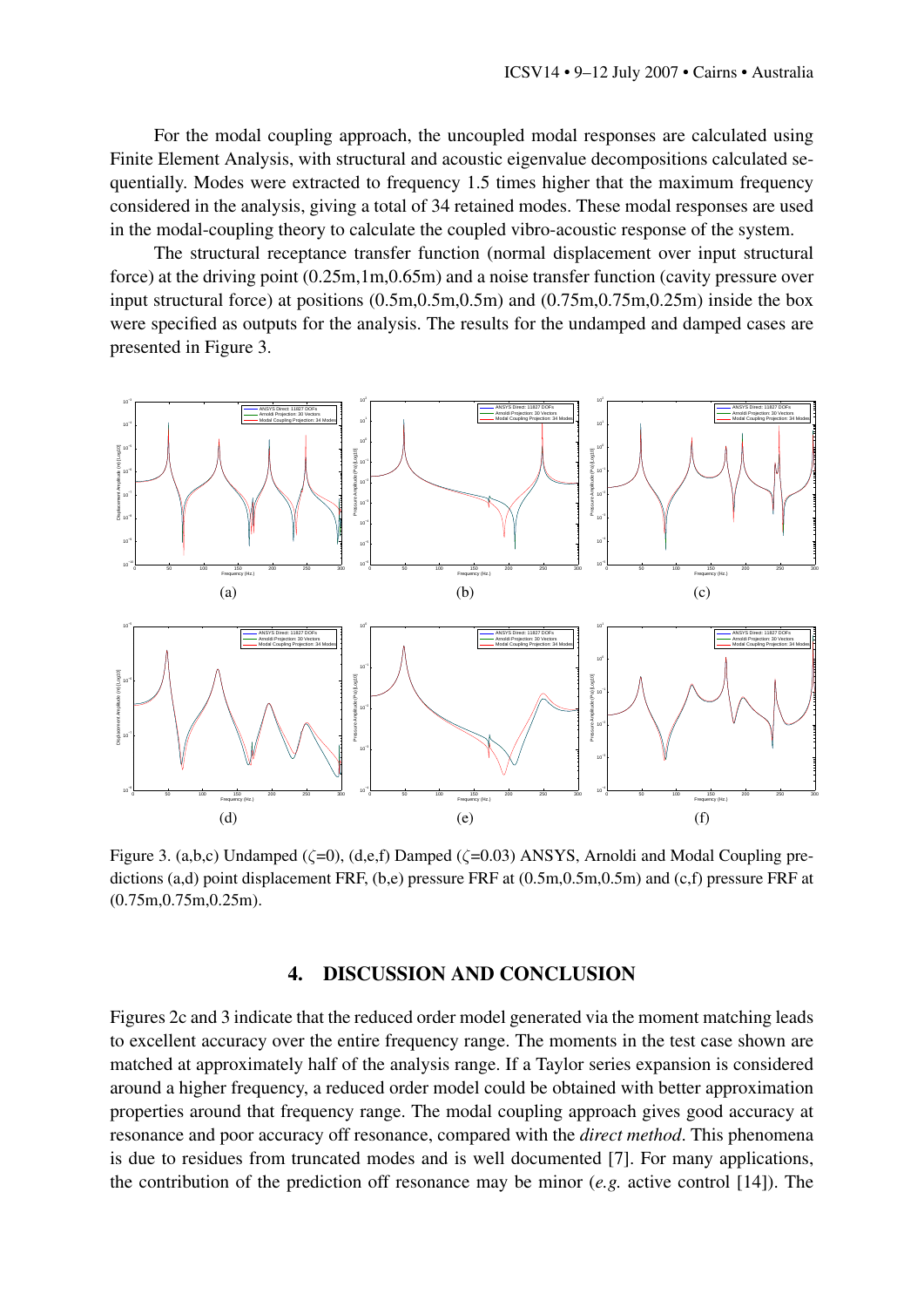For the modal coupling approach, the uncoupled modal responses are calculated using Finite Element Analysis, with structural and acoustic eigenvalue decompositions calculated sequentially. Modes were extracted to frequency 1.5 times higher that the maximum frequency considered in the analysis, giving a total of 34 retained modes. These modal responses are used in the modal-coupling theory to calculate the coupled vibro-acoustic response of the system.

The structural receptance transfer function (normal displacement over input structural force) at the driving point (0.25m,1m,0.65m) and a noise transfer function (cavity pressure over input structural force) at positions (0.5m,0.5m,0.5m) and (0.75m,0.75m,0.25m) inside the box were specified as outputs for the analysis. The results for the undamped and damped cases are presented in Figure [3.](#page-6-0)



<span id="page-6-0"></span>Figure 3. (a,b,c) Undamped ( $\zeta$ =0), (d,e,f) Damped ( $\zeta$ =0.03) ANSYS, Arnoldi and Modal Coupling predictions (a,d) point displacement FRF, (b,e) pressure FRF at (0.5m,0.5m,0.5m) and (c,f) pressure FRF at (0.75m,0.75m,0.25m).

## 4. DISCUSSION AND CONCLUSION

Figures [2c](#page-5-2) and [3](#page-6-0) indicate that the reduced order model generated via the moment matching leads to excellent accuracy over the entire frequency range. The moments in the test case shown are matched at approximately half of the analysis range. If a Taylor series expansion is considered around a higher frequency, a reduced order model could be obtained with better approximation properties around that frequency range. The modal coupling approach gives good accuracy at resonance and poor accuracy off resonance, compared with the *direct method*. This phenomena is due to residues from truncated modes and is well documented [\[7\]](#page-7-4). For many applications, the contribution of the prediction off resonance may be minor (*e.g.* active control [\[14\]](#page-7-9)). The